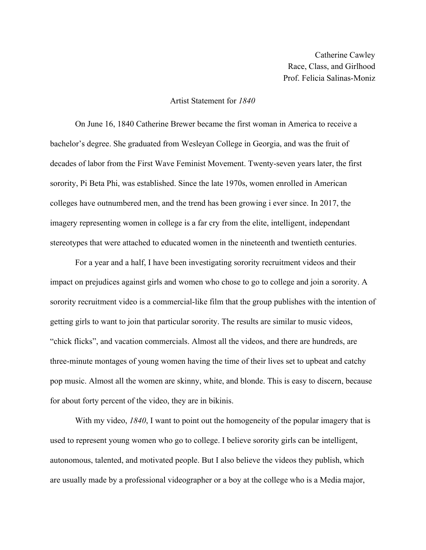## Artist Statement for *1840*

On June 16, 1840 Catherine Brewer became the first woman in America to receive a bachelor's degree. She graduated from Wesleyan College in Georgia, and was the fruit of decades of labor from the First Wave Feminist Movement. Twenty-seven years later, the first sorority, Pi Beta Phi, was established. Since the late 1970s, women enrolled in American colleges have outnumbered men, and the trend has been growing i ever since. In 2017, the imagery representing women in college is a far cry from the elite, intelligent, independant stereotypes that were attached to educated women in the nineteenth and twentieth centuries.

For a year and a half, I have been investigating sorority recruitment videos and their impact on prejudices against girls and women who chose to go to college and join a sorority. A sorority recruitment video is a commercial-like film that the group publishes with the intention of getting girls to want to join that particular sorority. The results are similar to music videos, "chick flicks", and vacation commercials. Almost all the videos, and there are hundreds, are three-minute montages of young women having the time of their lives set to upbeat and catchy pop music. Almost all the women are skinny, white, and blonde. This is easy to discern, because for about forty percent of the video, they are in bikinis.

With my video, *1840*, I want to point out the homogeneity of the popular imagery that is used to represent young women who go to college. I believe sorority girls can be intelligent, autonomous, talented, and motivated people. But I also believe the videos they publish, which are usually made by a professional videographer or a boy at the college who is a Media major,